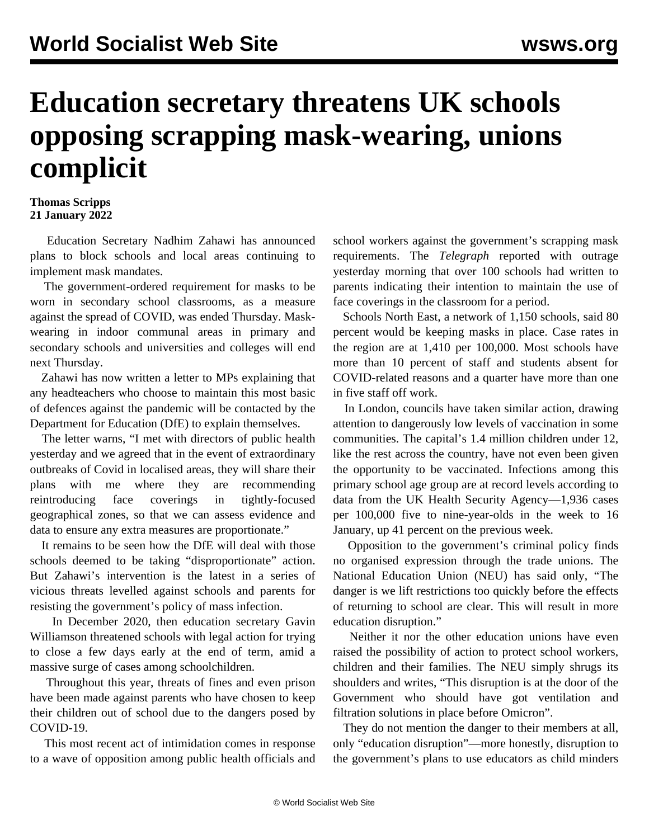## **Education secretary threatens UK schools opposing scrapping mask-wearing, unions complicit**

## **Thomas Scripps 21 January 2022**

 Education Secretary Nadhim Zahawi has announced plans to block schools and local areas continuing to implement mask mandates.

 The government-ordered requirement for masks to be worn in secondary school classrooms, as a measure against the spread of COVID, was ended Thursday. Maskwearing in indoor communal areas in primary and secondary schools and universities and colleges will end next Thursday.

 Zahawi has now written a letter to MPs explaining that any headteachers who choose to maintain this most basic of defences against the pandemic will be contacted by the Department for Education (DfE) to explain themselves.

 The letter warns, "I met with directors of public health yesterday and we agreed that in the event of extraordinary outbreaks of Covid in localised areas, they will share their plans with me where they are recommending reintroducing face coverings in tightly-focused geographical zones, so that we can assess evidence and data to ensure any extra measures are proportionate."

 It remains to be seen how the DfE will deal with those schools deemed to be taking "disproportionate" action. But Zahawi's intervention is the latest in a series of vicious threats levelled against schools and parents for resisting the government's policy of mass infection.

 In December 2020, then education secretary Gavin Williamson threatened schools with [legal action](/en/articles/2020/12/16/scho-d16.html) for trying to close a few days early at the end of term, amid a massive surge of cases among schoolchildren.

 Throughout this year, [threats](/en/articles/2021/12/04/lisa-d04.html) of fines and even prison have been made against parents who have chosen to keep their children out of school due to the dangers posed by COVID-19.

 This most recent act of intimidation comes in response to a wave of opposition among public health officials and school workers against the government's scrapping mask requirements. The *Telegraph* reported with outrage yesterday morning that over 100 schools had written to parents indicating their intention to maintain the use of face coverings in the classroom for a period.

 Schools North East, a network of 1,150 schools, said 80 percent would be keeping masks in place. Case rates in the region are at 1,410 per 100,000. Most schools have more than 10 percent of staff and students absent for COVID-related reasons and a quarter have more than one in five staff off work.

 In London, councils have taken similar action, drawing attention to dangerously low levels of vaccination in some communities. The capital's 1.4 million children under 12, like the rest across the country, have not even been given the opportunity to be vaccinated. Infections among this primary school age group are at record levels according to data from the UK Health Security Agency—1,936 cases per 100,000 five to nine-year-olds in the week to 16 January, up 41 percent on the previous week.

 Opposition to the government's criminal policy finds no organised expression through the trade unions. The National Education Union (NEU) has said only, "The danger is we lift restrictions too quickly before the effects of returning to school are clear. This will result in more education disruption."

 Neither it nor the other education unions have even raised the possibility of action to protect school workers, children and their families. The NEU simply shrugs its shoulders and writes, "This disruption is at the door of the Government who should have got ventilation and filtration solutions in place before Omicron".

 They do not mention the danger to their members at all, only "education disruption"—more honestly, disruption to the government's plans to use educators as child minders